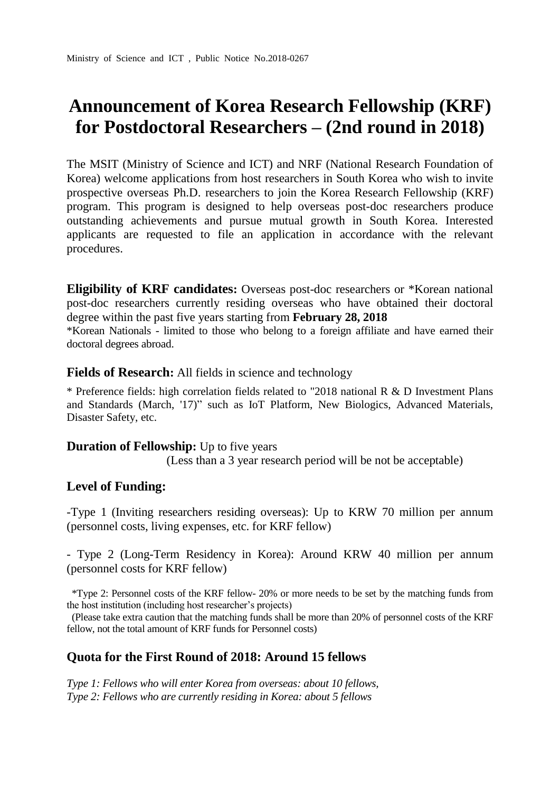# **Announcement of Korea Research Fellowship (KRF) for Postdoctoral Researchers – (2nd round in 2018)**

The MSIT (Ministry of Science and ICT) and NRF (National Research Foundation of Korea) welcome applications from host researchers in South Korea who wish to invite prospective overseas Ph.D. researchers to join the Korea Research Fellowship (KRF) program. This program is designed to help overseas post-doc researchers produce outstanding achievements and pursue mutual growth in South Korea. Interested applicants are requested to file an application in accordance with the relevant procedures.

**Eligibility of KRF candidates:** Overseas post-doc researchers or \*Korean national post-doc researchers currently residing overseas who have obtained their doctoral degree within the past five years starting from **February 28, 2018** \*Korean Nationals - limited to those who belong to a foreign affiliate and have earned their

doctoral degrees abroad.

**Fields of Research:** All fields in science and technology

\* Preference fields: high correlation fields related to "2018 national R & D Investment Plans and Standards (March, '17)" such as IoT Platform, New Biologics, Advanced Materials, Disaster Safety, etc.

#### **Duration of Fellowship:** Up to five years

(Less than a 3 year research period will be not be acceptable)

## **Level of Funding:**

-Type 1 (Inviting researchers residing overseas): Up to KRW 70 million per annum (personnel costs, living expenses, etc. for KRF fellow)

- Type 2 (Long-Term Residency in Korea): Around KRW 40 million per annum (personnel costs for KRF fellow)

\*Type 2: Personnel costs of the KRF fellow- 20% or more needs to be set by the matching funds from the host institution (including host researcher's projects)

(Please take extra caution that the matching funds shall be more than 20% of personnel costs of the KRF fellow, not the total amount of KRF funds for Personnel costs)

## **Quota for the First Round of 2018: Around 15 fellows**

*Type 1: Fellows who will enter Korea from overseas: about 10 fellows, Type 2: Fellows who are currently residing in Korea: about 5 fellows*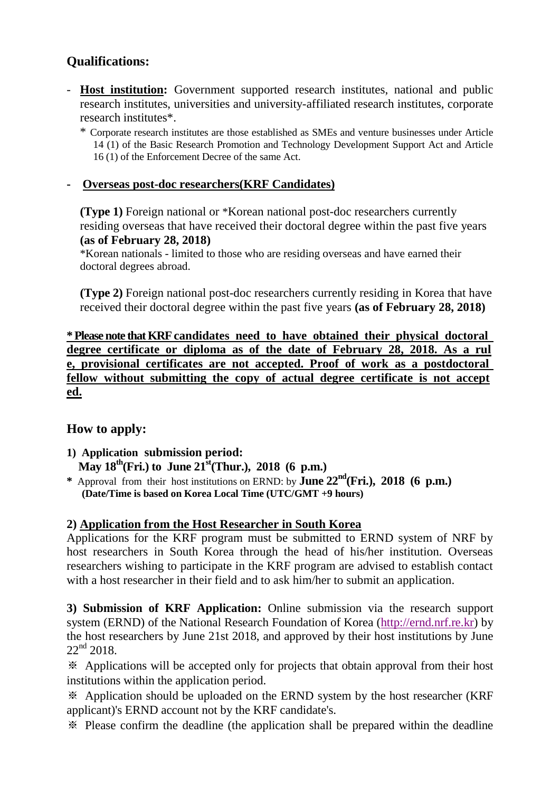# **Qualifications:**

- **Host institution:** Government supported research institutes, national and public research institutes, universities and university-affiliated research institutes, corporate research institutes\*.
	- \* Corporate research institutes are those established as SMEs and venture businesses under Article 14 (1) of the Basic Research Promotion and Technology Development Support Act and Article 16 (1) of the Enforcement Decree of the same Act.

## **- Overseas post-doc researchers(KRF Candidates)**

**(Type 1)** Foreign national or \*Korean national post-doc researchers currently residing overseas that have received their doctoral degree within the past five years **(as of February 28, 2018)**

\*Korean nationals - limited to those who are residing overseas and have earned their doctoral degrees abroad.

**(Type 2)** Foreign national post-doc researchers currently residing in Korea that have received their doctoral degree within the past five years **(as of February 28, 2018)**

**\* Please note that KRF candidates need to have obtained their physical doctoral degree certificate or diploma as of the date of February 28, 2018. As a rul e, provisional certificates are not accepted. Proof of work as a postdoctoral fellow without submitting the copy of actual degree certificate is not accept ed.**

## **How to apply:**

- **1) Application submission period: May 18th(Fri.) to June 21st(Thur.), 2018 (6 p.m.)**
- **\*** Approval from their host institutions on ERND: by **June 22 nd(Fri.), 2018 (6 p.m.) (Date/Time is based on Korea Local Time (UTC/GMT +9 hours)**

## **2) Application from the Host Researcher in South Korea**

Applications for the KRF program must be submitted to ERND system of NRF by host researchers in South Korea through the head of his/her institution. Overseas researchers wishing to participate in the KRF program are advised to establish contact with a host researcher in their field and to ask him/her to submit an application.

**3) Submission of KRF Application:** Online submission via the research support system (ERND) of the National Research Foundation of Korea [\(http://ernd.nrf.re.kr\)](http://ernd.nrf.re.kr/) by the host researchers by June 21st 2018, and approved by their host institutions by June  $22<sup>nd</sup> 2018.$ 

※ Applications will be accepted only for projects that obtain approval from their host institutions within the application period.

※ Application should be uploaded on the ERND system by the host researcher (KRF applicant)'s ERND account not by the KRF candidate's.

※ Please confirm the deadline (the application shall be prepared within the deadline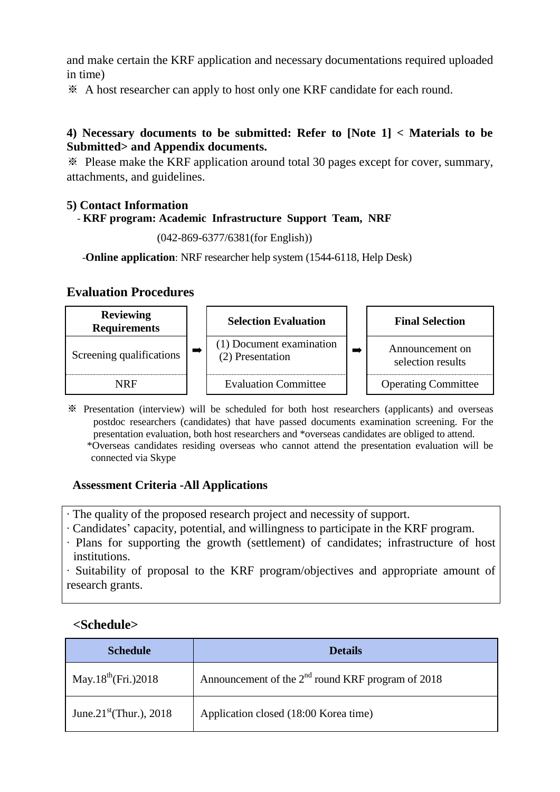and make certain the KRF application and necessary documentations required uploaded in time)

※ A host researcher can apply to host only one KRF candidate for each round.

## **4) Necessary documents to be submitted: Refer to [Note 1] < Materials to be Submitted> and Appendix documents.**

※ Please make the KRF application around total 30 pages except for cover, summary, attachments, and guidelines.

#### **5) Contact Information**

#### - **KRF program: Academic Infrastructure Support Team, NRF**

(042-869-6377/6381(for English))

-**Online application**: NRF researcher help system (1544-6118, Help Desk)

## **Evaluation Procedures**

| <b>Reviewing</b><br><b>Requirements</b> | <b>Selection Evaluation</b>                  | <b>Final Selection</b>               |
|-----------------------------------------|----------------------------------------------|--------------------------------------|
| Screening qualifications                | (1) Document examination<br>(2) Presentation | Announcement on<br>selection results |
| NRF                                     | <b>Evaluation Committee</b>                  | <b>Operating Committee</b>           |

※ Presentation (interview) will be scheduled for both host researchers (applicants) and overseas postdoc researchers (candidates) that have passed documents examination screening. For the presentation evaluation, both host researchers and \*overseas candidates are obliged to attend. \*Overseas candidates residing overseas who cannot attend the presentation evaluation will be connected via Skype

## **Assessment Criteria -All Applications**

- ∙ The quality of the proposed research project and necessity of support.
- ∙ Candidates' capacity, potential, and willingness to participate in the KRF program.
- ∙ Plans for supporting the growth (settlement) of candidates; infrastructure of host institutions.

∙ Suitability of proposal to the KRF program/objectives and appropriate amount of research grants.

## **<Schedule>**

| <b>Schedule</b>                     | <b>Details</b>                                                |  |
|-------------------------------------|---------------------------------------------------------------|--|
| May.18 <sup>th</sup> (Fri.)2018     | Announcement of the 2 <sup>nd</sup> round KRF program of 2018 |  |
| June.21 <sup>st</sup> (Thur.), 2018 | Application closed (18:00 Korea time)                         |  |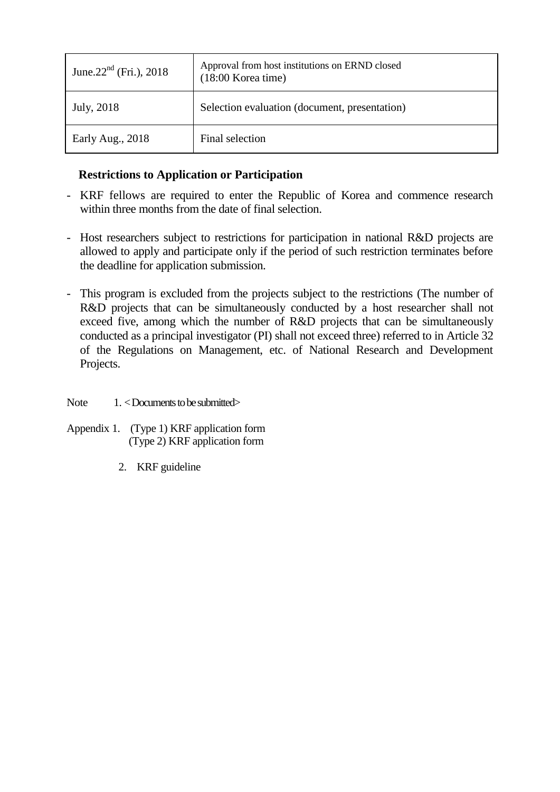| June. $22^{nd}$ (Fri.), 2018 | Approval from host institutions on ERND closed<br>$(18:00$ Korea time) |  |
|------------------------------|------------------------------------------------------------------------|--|
| July, 2018                   | Selection evaluation (document, presentation)                          |  |
| Early Aug., 2018             | Final selection                                                        |  |

## **Restrictions to Application or Participation**

- KRF fellows are required to enter the Republic of Korea and commence research within three months from the date of final selection.
- Host researchers subject to restrictions for participation in national R&D projects are allowed to apply and participate only if the period of such restriction terminates before the deadline for application submission.
- This program is excluded from the projects subject to the restrictions (The number of R&D projects that can be simultaneously conducted by a host researcher shall not exceed five, among which the number of R&D projects that can be simultaneously conducted as a principal investigator (PI) shall not exceed three) referred to in Article 32 of the Regulations on Management, etc. of National Research and Development Projects.
- Note  $1. <$  Documents to be submitted $>$
- Appendix 1. (Type 1) KRF application form (Type 2) KRF application form
	- 2. KRF guideline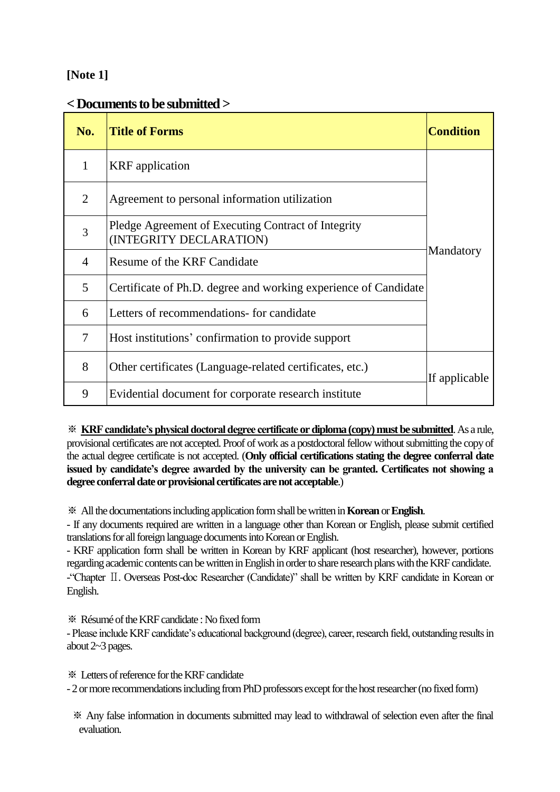## **[Note 1]**

## **< Documents to be submitted >**

| No. | <b>Title of Forms</b>                                                          | <b>Condition</b> |
|-----|--------------------------------------------------------------------------------|------------------|
| 1   | <b>KRF</b> application                                                         |                  |
| 2   | Agreement to personal information utilization                                  |                  |
| 3   | Pledge Agreement of Executing Contract of Integrity<br>(INTEGRITY DECLARATION) |                  |
| 4   | Resume of the KRF Candidate                                                    | Mandatory        |
| 5   | Certificate of Ph.D. degree and working experience of Candidate                |                  |
| 6   | Letters of recommendations- for candidate                                      |                  |
| 7   | Host institutions' confirmation to provide support                             |                  |
| 8   | Other certificates (Language-related certificates, etc.)                       | If applicable    |
| 9   | Evidential document for corporate research institute                           |                  |

※ **KRF candidate's physical doctoral degree certificate or diploma (copy) must be submitted**. As a rule, provisional certificates are not accepted. Proof of work as a postdoctoral fellow without submitting the copy of the actual degree certificate is not accepted. (**Only official certifications stating the degree conferral date issued by candidate's degree awarded by the university can be granted. Certificates not showing a degree conferral date or provisional certificates are not acceptable**.)

※ Allthe documentations including application form shall be written in **Korean** or **English**.

- If any documents required are written in a language other than Korean or English, please submit certified translations for all foreign language documents into Korean or English.

- KRF application form shall be written in Korean by KRF applicant (host researcher), however, portions regarding academic contents can be written in English in order to share research plans with the KRF candidate.

-"Chapter Ⅱ. Overseas Post-doc Researcher (Candidate)" shall be written by KRF candidate in Korean or English.

※ Résumé of theKRF candidate : No fixed form

- Please include KRF candidate's educational background (degree), career, research field, outstanding results in about 2~3 pages.

※ Letters of reference fortheKRF candidate

- 2 or more recommendations including from PhD professors except for the host researcher (no fixed form)

※ Any false information in documents submitted may lead to withdrawal of selection even after the final evaluation.